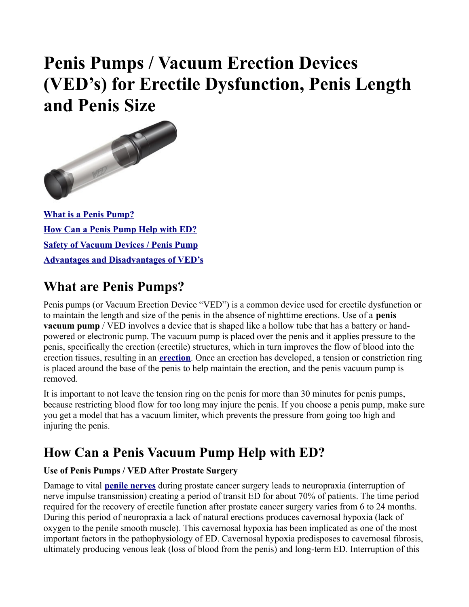# **Penis Pumps / Vacuum Erection Devices (VED's) for Erectile Dysfunction, Penis Length and Penis Size**



**[What is a Penis Pump?](http://www.prostate.net/erectile-dysfunction/penis-pumps/#What-is-a-Penis-Pump) [How Can a Penis Pump Help with ED?](http://www.prostate.net/erectile-dysfunction/penis-pumps/#How-Can-a-Penis-Pump-Help-with-ED) [Safety of Vacuum Devices / Penis Pump](http://www.prostate.net/erectile-dysfunction/penis-pumps/#Safety-of-Vacuum-Devices/Penis-Pump) [Advantages and Disadvantages of VED's](http://www.prostate.net/erectile-dysfunction/penis-pumps/#Advantages-and-Disadvantages-of-VEDs)**

## **What are Penis Pumps?**

Penis pumps (or Vacuum Erection Device "VED") is a common device used for erectile dysfunction or to maintain the length and size of the penis in the absence of nighttime erections. Use of a **penis vacuum pump** / VED involves a device that is shaped like a hollow tube that has a battery or handpowered or electronic pump. The vacuum pump is placed over the penis and it applies pressure to the penis, specifically the erection (erectile) structures, which in turn improves the flow of blood into the erection tissues, resulting in an **[erection](http://en.wikipedia.org/wiki/Erection)**. Once an erection has developed, a tension or constriction ring is placed around the base of the penis to help maintain the erection, and the penis vacuum pump is removed.

It is important to not leave the tension ring on the penis for more than 30 minutes for penis pumps, because restricting blood flow for too long may injure the penis. If you choose a penis pump, make sure you get a model that has a vacuum limiter, which prevents the pressure from going too high and injuring the penis.

# **How Can a Penis Vacuum Pump Help with ED?**

#### **Use of Penis Pumps / VED After Prostate Surgery**

Damage to vital **[penile nerves](http://en.wikipedia.org/wiki/Dorsal_nerve_of_the_penis)** during prostate cancer surgery leads to neuropraxia (interruption of nerve impulse transmission) creating a period of transit ED for about 70% of patients. The time period required for the recovery of erectile function after prostate cancer surgery varies from 6 to 24 months. During this period of neuropraxia a lack of natural erections produces cavernosal hypoxia (lack of oxygen to the penile smooth muscle). This cavernosal hypoxia has been implicated as one of the most important factors in the pathophysiology of ED. Cavernosal hypoxia predisposes to cavernosal fibrosis, ultimately producing venous leak (loss of blood from the penis) and long-term ED. Interruption of this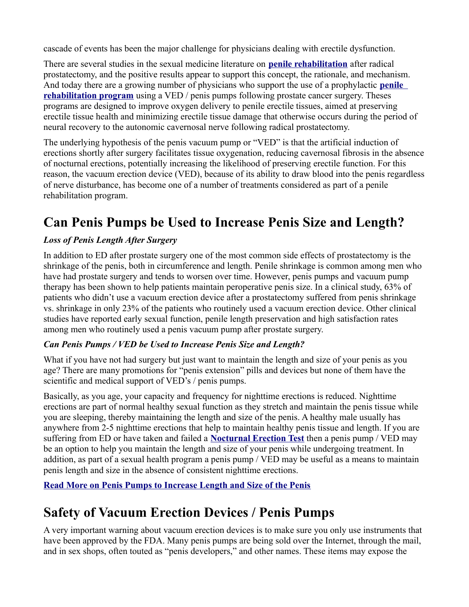cascade of events has been the major challenge for physicians dealing with erectile dysfunction.

There are several studies in the sexual medicine literature on **[penile rehabilitation](http://www.prostate.net/erectile-dysfunction/treating-erectile-dysfunction-after-prostate-surgery/)** after radical prostatectomy, and the positive results appear to support this concept, the rationale, and mechanism. And today there are a growing number of physicians who support the use of a prophylactic **[penile](http://www.prostate.net/erectile-dysfunction/treating-erectile-dysfunction-after-prostate-surgery/)  [rehabilitation program](http://www.prostate.net/erectile-dysfunction/treating-erectile-dysfunction-after-prostate-surgery/)** using a VED / penis pumps following prostate cancer surgery. Theses programs are designed to improve oxygen delivery to penile erectile tissues, aimed at preserving erectile tissue health and minimizing erectile tissue damage that otherwise occurs during the period of neural recovery to the autonomic cavernosal nerve following radical prostatectomy.

The underlying hypothesis of the penis vacuum pump or "VED" is that the artificial induction of erections shortly after surgery facilitates tissue oxygenation, reducing cavernosal fibrosis in the absence of nocturnal erections, potentially increasing the likelihood of preserving erectile function. For this reason, the vacuum erection device (VED), because of its ability to draw blood into the penis regardless of nerve disturbance, has become one of a number of treatments considered as part of a penile rehabilitation program.

### **Can Penis Pumps be Used to Increase Penis Size and Length?**

#### *Loss of Penis Length After Surgery*

In addition to ED after prostate surgery one of the most common side effects of prostatectomy is the shrinkage of the penis, both in circumference and length. Penile shrinkage is common among men who have had prostate surgery and tends to worsen over time. However, penis pumps and vacuum pump therapy has been shown to help patients maintain peroperative penis size. In a clinical study, 63% of patients who didn't use a vacuum erection device after a prostatectomy suffered from penis shrinkage vs. shrinkage in only 23% of the patients who routinely used a vacuum erection device. Other clinical studies have reported early sexual function, penile length preservation and high satisfaction rates among men who routinely used a penis vacuum pump after prostate surgery.

#### *Can Penis Pumps / VED be Used to Increase Penis Size and Length?*

What if you have not had surgery but just want to maintain the length and size of your penis as you age? There are many promotions for "penis extension" pills and devices but none of them have the scientific and medical support of VED's / penis pumps.

Basically, as you age, your capacity and frequency for nighttime erections is reduced. Nighttime erections are part of normal healthy sexual function as they stretch and maintain the penis tissue while you are sleeping, thereby maintaining the length and size of the penis. A healthy male usually has anywhere from 2-5 nighttime erections that help to maintain healthy penis tissue and length. If you are suffering from ED or have taken and failed a **[Nocturnal Erection Test](http://www.prostate.net/erectile-dysfunction/nocturnal-erection-test/)** then a penis pump / VED may be an option to help you maintain the length and size of your penis while undergoing treatment. In addition, as part of a sexual health program a penis pump / VED may be useful as a means to maintain penis length and size in the absence of consistent nighttime erections.

**[Read More on Penis Pumps to Increase Length and Size of the Penis](http://www.prostate.net/2011/erectile-dysfunction-impotence/can-a-penis-pump-increase-penis-length-and-size/)**

### **Safety of Vacuum Erection Devices / Penis Pumps**

A very important warning about vacuum erection devices is to make sure you only use instruments that have been approved by the FDA. Many penis pumps are being sold over the Internet, through the mail, and in sex shops, often touted as "penis developers," and other names. These items may expose the